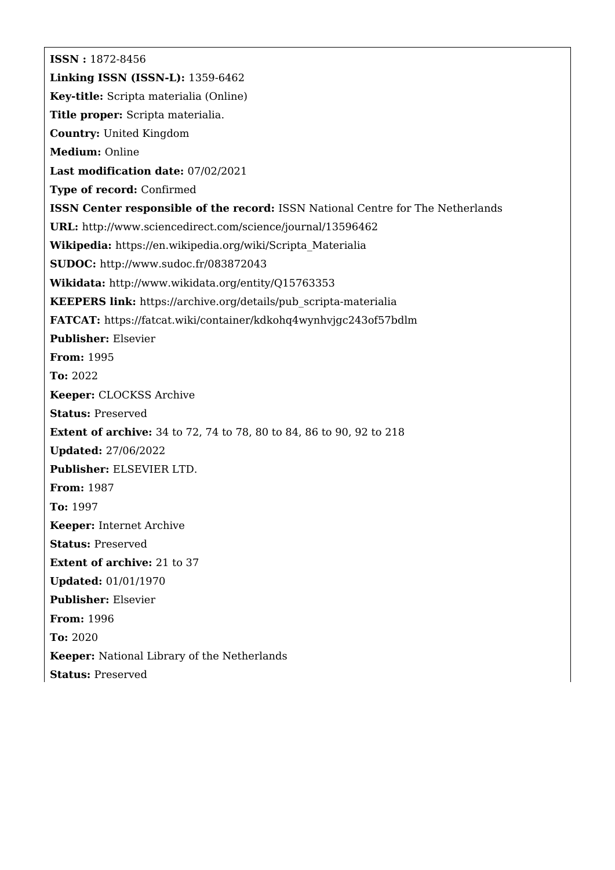**ISSN :** 1872-8456 **Linking ISSN (ISSN-L):** 1359-6462 **Key-title:** Scripta materialia (Online) **Title proper:** Scripta materialia. **Country:** United Kingdom **Medium:** Online **Last modification date:** 07/02/2021 **Type of record:** Confirmed **ISSN Center responsible of the record:** ISSN National Centre for The Netherlands **URL:** <http://www.sciencedirect.com/science/journal/13596462> **Wikipedia:** [https://en.wikipedia.org/wiki/Scripta\\_Materialia](https://en.wikipedia.org/wiki/Scripta_Materialia) **SUDOC:** <http://www.sudoc.fr/083872043> **Wikidata:** <http://www.wikidata.org/entity/Q15763353> **KEEPERS link:** [https://archive.org/details/pub\\_scripta-materialia](https://archive.org/details/pub_scripta-materialia) **FATCAT:** <https://fatcat.wiki/container/kdkohq4wynhvjgc243of57bdlm> **Publisher:** Elsevier **From:** 1995 **To:** 2022 **Keeper:** CLOCKSS Archive **Status:** Preserved **Extent of archive:** 34 to 72, 74 to 78, 80 to 84, 86 to 90, 92 to 218 **Updated:** 27/06/2022 **Publisher:** ELSEVIER LTD. **From:** 1987 **To:** 1997 **Keeper:** Internet Archive **Status:** Preserved **Extent of archive:** 21 to 37 **Updated:** 01/01/1970 **Publisher:** Elsevier **From:** 1996 **To:** 2020 **Keeper:** National Library of the Netherlands **Status:** Preserved